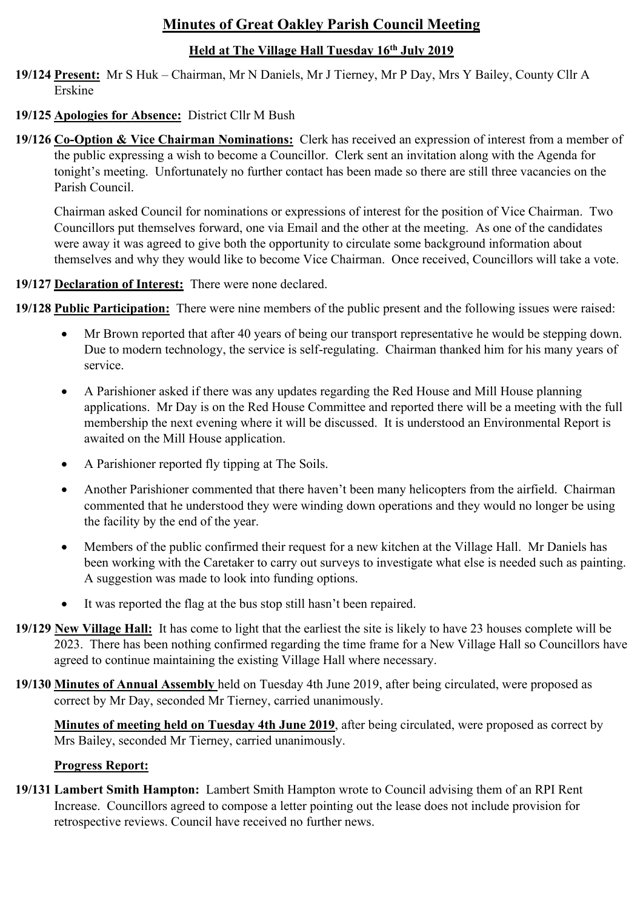# **Minutes of Great Oakley Parish Council Meeting**

## **Held at The Village Hall Tuesday 16th July 2019**

**19/124 Present:** Mr S Huk – Chairman, Mr N Daniels, Mr J Tierney, Mr P Day, Mrs Y Bailey, County Cllr A Erskine

### **19/125 Apologies for Absence:** District Cllr M Bush

**19/126 Co-Option & Vice Chairman Nominations:** Clerk has received an expression of interest from a member of the public expressing a wish to become a Councillor. Clerk sent an invitation along with the Agenda for tonight's meeting. Unfortunately no further contact has been made so there are still three vacancies on the Parish Council.

Chairman asked Council for nominations or expressions of interest for the position of Vice Chairman. Two Councillors put themselves forward, one via Email and the other at the meeting. As one of the candidates were away it was agreed to give both the opportunity to circulate some background information about themselves and why they would like to become Vice Chairman. Once received, Councillors will take a vote.

**19/127 Declaration of Interest:** There were none declared.

**19/128 Public Participation:** There were nine members of the public present and the following issues were raised:

- Mr Brown reported that after 40 years of being our transport representative he would be stepping down. Due to modern technology, the service is self-regulating. Chairman thanked him for his many years of service.
- A Parishioner asked if there was any updates regarding the Red House and Mill House planning applications. Mr Day is on the Red House Committee and reported there will be a meeting with the full membership the next evening where it will be discussed. It is understood an Environmental Report is awaited on the Mill House application.
- A Parishioner reported fly tipping at The Soils.
- Another Parishioner commented that there haven't been many helicopters from the airfield. Chairman commented that he understood they were winding down operations and they would no longer be using the facility by the end of the year.
- Members of the public confirmed their request for a new kitchen at the Village Hall. Mr Daniels has been working with the Caretaker to carry out surveys to investigate what else is needed such as painting. A suggestion was made to look into funding options.
- It was reported the flag at the bus stop still hasn't been repaired.
- **19/129 New Village Hall:** It has come to light that the earliest the site is likely to have 23 houses complete will be 2023. There has been nothing confirmed regarding the time frame for a New Village Hall so Councillors have agreed to continue maintaining the existing Village Hall where necessary.
- **19/130 Minutes of Annual Assembly** held on Tuesday 4th June 2019, after being circulated, were proposed as correct by Mr Day, seconded Mr Tierney, carried unanimously.

 **Minutes of meeting held on Tuesday 4th June 2019**, after being circulated, were proposed as correct by Mrs Bailey, seconded Mr Tierney, carried unanimously.

#### **Progress Report:**

**19/131 Lambert Smith Hampton:** Lambert Smith Hampton wrote to Council advising them of an RPI Rent Increase. Councillors agreed to compose a letter pointing out the lease does not include provision for retrospective reviews. Council have received no further news.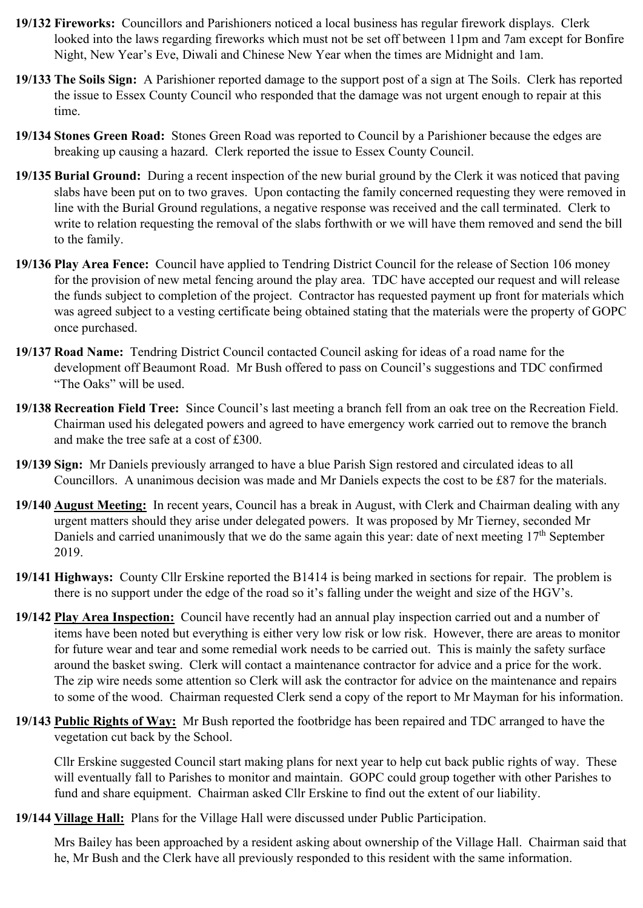- **19/132 Fireworks:** Councillors and Parishioners noticed a local business has regular firework displays. Clerk looked into the laws regarding fireworks which must not be set off between 11pm and 7am except for Bonfire Night, New Year's Eve, Diwali and Chinese New Year when the times are Midnight and 1am.
- **19/133 The Soils Sign:** A Parishioner reported damage to the support post of a sign at The Soils. Clerk has reported the issue to Essex County Council who responded that the damage was not urgent enough to repair at this time.
- **19/134 Stones Green Road:** Stones Green Road was reported to Council by a Parishioner because the edges are breaking up causing a hazard. Clerk reported the issue to Essex County Council.
- **19/135 Burial Ground:** During a recent inspection of the new burial ground by the Clerk it was noticed that paving slabs have been put on to two graves. Upon contacting the family concerned requesting they were removed in line with the Burial Ground regulations, a negative response was received and the call terminated. Clerk to write to relation requesting the removal of the slabs forthwith or we will have them removed and send the bill to the family.
- **19/136 Play Area Fence:** Council have applied to Tendring District Council for the release of Section 106 money for the provision of new metal fencing around the play area. TDC have accepted our request and will release the funds subject to completion of the project. Contractor has requested payment up front for materials which was agreed subject to a vesting certificate being obtained stating that the materials were the property of GOPC once purchased.
- **19/137 Road Name:** Tendring District Council contacted Council asking for ideas of a road name for the development off Beaumont Road. Mr Bush offered to pass on Council's suggestions and TDC confirmed "The Oaks" will be used.
- **19/138 Recreation Field Tree:** Since Council's last meeting a branch fell from an oak tree on the Recreation Field. Chairman used his delegated powers and agreed to have emergency work carried out to remove the branch and make the tree safe at a cost of £300.
- **19/139 Sign:** Mr Daniels previously arranged to have a blue Parish Sign restored and circulated ideas to all Councillors. A unanimous decision was made and Mr Daniels expects the cost to be £87 for the materials.
- **19/140 August Meeting:** In recent years, Council has a break in August, with Clerk and Chairman dealing with any urgent matters should they arise under delegated powers. It was proposed by Mr Tierney, seconded Mr Daniels and carried unanimously that we do the same again this year: date of next meeting 17<sup>th</sup> September 2019.
- **19/141 Highways:** County Cllr Erskine reported the B1414 is being marked in sections for repair. The problem is there is no support under the edge of the road so it's falling under the weight and size of the HGV's.
- **19/142 Play Area Inspection:** Council have recently had an annual play inspection carried out and a number of items have been noted but everything is either very low risk or low risk. However, there are areas to monitor for future wear and tear and some remedial work needs to be carried out. This is mainly the safety surface around the basket swing. Clerk will contact a maintenance contractor for advice and a price for the work. The zip wire needs some attention so Clerk will ask the contractor for advice on the maintenance and repairs to some of the wood. Chairman requested Clerk send a copy of the report to Mr Mayman for his information.
- **19/143 Public Rights of Way:** Mr Bush reported the footbridge has been repaired and TDC arranged to have the vegetation cut back by the School.

Cllr Erskine suggested Council start making plans for next year to help cut back public rights of way. These will eventually fall to Parishes to monitor and maintain. GOPC could group together with other Parishes to fund and share equipment. Chairman asked Cllr Erskine to find out the extent of our liability.

**19/144 Village Hall:** Plans for the Village Hall were discussed under Public Participation.

Mrs Bailey has been approached by a resident asking about ownership of the Village Hall. Chairman said that he, Mr Bush and the Clerk have all previously responded to this resident with the same information.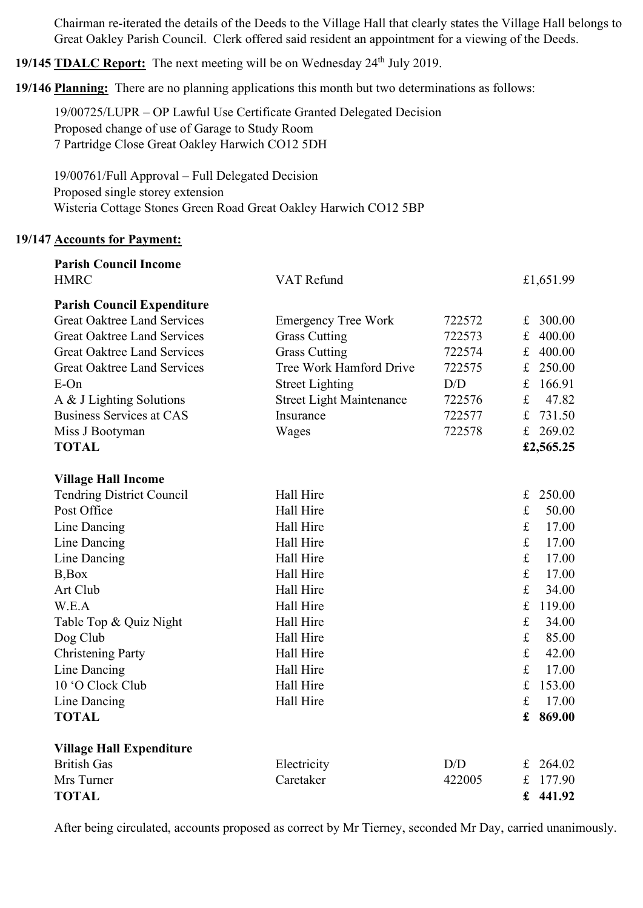Chairman re-iterated the details of the Deeds to the Village Hall that clearly states the Village Hall belongs to Great Oakley Parish Council. Clerk offered said resident an appointment for a viewing of the Deeds.

**19/145 <b>TDALC Report:** The next meeting will be on Wednesday 24<sup>th</sup> July 2019.

**19/146 Planning:** There are no planning applications this month but two determinations as follows:

19/00725/LUPR – OP Lawful Use Certificate Granted Delegated Decision Proposed change of use of Garage to Study Room 7 Partridge Close Great Oakley Harwich CO12 5DH

19/00761/Full Approval – Full Delegated Decision Proposed single storey extension Wisteria Cottage Stones Green Road Great Oakley Harwich CO12 5BP

#### **19/147 Accounts for Payment:**

| <b>Parish Council Income</b>       |                                 |        |                       |
|------------------------------------|---------------------------------|--------|-----------------------|
| <b>HMRC</b>                        | VAT Refund                      |        | £1,651.99             |
| <b>Parish Council Expenditure</b>  |                                 |        |                       |
| <b>Great Oaktree Land Services</b> | <b>Emergency Tree Work</b>      | 722572 | 300.00<br>£           |
| <b>Great Oaktree Land Services</b> | <b>Grass Cutting</b>            | 722573 | 400.00<br>f(x)        |
| <b>Great Oaktree Land Services</b> | <b>Grass Cutting</b>            | 722574 | $f_{\rm L}$<br>400.00 |
| <b>Great Oaktree Land Services</b> | Tree Work Hamford Drive         | 722575 | 250.00<br>$f_{\rm L}$ |
| E-On                               | <b>Street Lighting</b>          | D/D    | 166.91<br>£           |
| A & J Lighting Solutions           | <b>Street Light Maintenance</b> | 722576 | £<br>47.82            |
| <b>Business Services at CAS</b>    | Insurance                       | 722577 | 731.50<br>$\mathbf f$ |
| Miss J Bootyman                    | Wages                           | 722578 | 269.02<br>£           |
| <b>TOTAL</b>                       |                                 |        | £2,565.25             |
| <b>Village Hall Income</b>         |                                 |        |                       |
| <b>Tendring District Council</b>   | Hall Hire                       |        | 250.00<br>$\mathbf f$ |
| Post Office                        | Hall Hire                       |        | $\mathbf f$<br>50.00  |
| Line Dancing                       | Hall Hire                       |        | $\mathbf f$<br>17.00  |
| Line Dancing                       | Hall Hire                       |        | $\mathbf f$<br>17.00  |
| Line Dancing                       | Hall Hire                       |        | £<br>17.00            |
| B, Box                             | Hall Hire                       |        | $\mathbf f$<br>17.00  |
| Art Club                           | Hall Hire                       |        | £<br>34.00            |
| W.E.A                              | Hall Hire                       |        | $\pounds$<br>119.00   |
| Table Top & Quiz Night             | Hall Hire                       |        | $\mathbf f$<br>34.00  |
| Dog Club                           | Hall Hire                       |        | $\mathbf f$<br>85.00  |
| <b>Christening Party</b>           | Hall Hire                       |        | £<br>42.00            |
| Line Dancing                       | Hall Hire                       |        | £<br>17.00            |
| 10 'O Clock Club                   | Hall Hire                       |        | $\mathbf f$<br>153.00 |
| Line Dancing                       | Hall Hire                       |        | £<br>17.00            |
| <b>TOTAL</b>                       |                                 |        | £<br>869.00           |
| <b>Village Hall Expenditure</b>    |                                 |        |                       |
| <b>British Gas</b>                 | Electricity                     | D/D    | 264.02<br>£           |
| Mrs Turner                         | Caretaker                       | 422005 | 177.90<br>£           |
| <b>TOTAL</b>                       |                                 |        | £ 441.92              |

After being circulated, accounts proposed as correct by Mr Tierney, seconded Mr Day, carried unanimously.